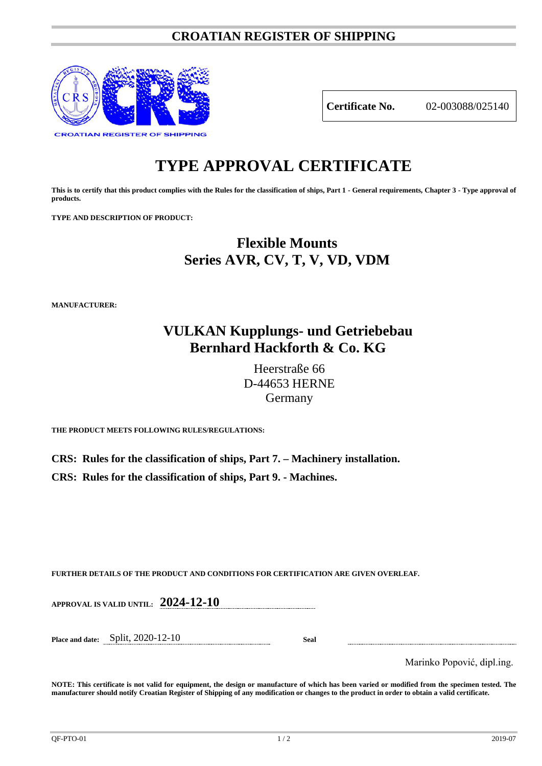### **CROATIAN REGISTER OF SHIPPING**



**Certificate No.** 02-003088/025140

# **TYPE APPROVAL CERTIFICATE**

**This is to certify that this product complies with the Rules for the classification of ships, Part 1 - General requirements, Chapter 3 - Type approval of products.**

**TYPE AND DESCRIPTION OF PRODUCT:** 

## **Flexible Mounts Series AVR, CV, T, V, VD, VDM**

**MANUFACTURER:**

### **VULKAN Kupplungs- und Getriebebau Bernhard Hackforth & Co. KG**

Heerstraße 66 D-44653 HERNE Germany

**THE PRODUCT MEETS FOLLOWING RULES/REGULATIONS:**

**CRS: Rules for the classification of ships, Part 7. – Machinery installation. CRS: Rules for the classification of ships, Part 9. - Machines.**

**FURTHER DETAILS OF THE PRODUCT AND CONDITIONS FOR CERTIFICATION ARE GIVEN OVERLEAF.**

**APPROVAL IS VALID UNTIL: 2024-12-10**

**Place and date:** Split, 2020-12-10 **Seal**

Marinko Popović, dipl.ing.

**NOTE: This certificate is not valid for equipment, the design or manufacture of which has been varied or modified from the specimen tested. The manufacturer should notify Croatian Register of Shipping of any modification or changes to the product in order to obtain a valid certificate.**